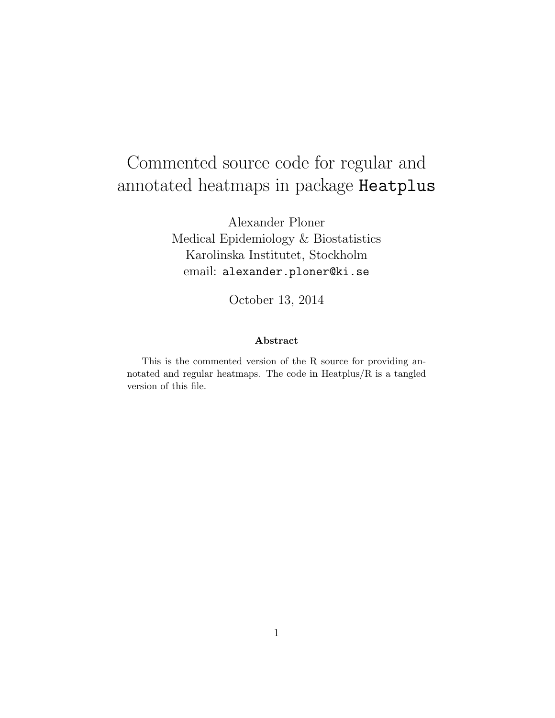# Commented source code for regular and annotated heatmaps in package Heatplus

Alexander Ploner Medical Epidemiology & Biostatistics Karolinska Institutet, Stockholm email: alexander.ploner@ki.se

October 13, 2014

#### Abstract

This is the commented version of the R source for providing annotated and regular heatmaps. The code in Heatplus/R is a tangled version of this file.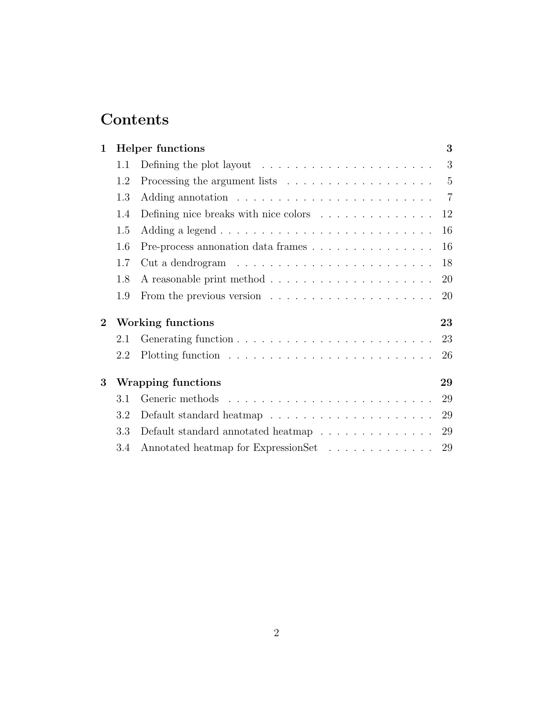# Contents

| $\mathbf 1$    |                          | <b>Helper</b> functions                                                         | 3  |
|----------------|--------------------------|---------------------------------------------------------------------------------|----|
|                | 1.1                      | Defining the plot layout $\dots \dots \dots \dots \dots \dots \dots$            | 3  |
|                | 1.2                      | Processing the argument lists $\dots \dots \dots \dots \dots \dots \dots \dots$ |    |
|                | 1.3                      |                                                                                 |    |
|                | 1.4                      | Defining nice breaks with nice colors                                           | 12 |
|                | 1.5                      |                                                                                 | 16 |
|                | 1.6                      | Pre-process annonation data frames                                              | 16 |
|                | 1.7                      |                                                                                 | 18 |
|                | 1.8                      |                                                                                 | 20 |
|                | 1.9                      | From the previous version $\dots \dots \dots \dots \dots \dots \dots$           | 20 |
| $\overline{2}$ | <b>Working functions</b> |                                                                                 | 23 |
|                | 2.1                      |                                                                                 | 23 |
|                | 2.2                      |                                                                                 | 26 |
| 3              | Wrapping functions       |                                                                                 | 29 |
|                | 3.1                      |                                                                                 | 29 |
|                | 3.2                      |                                                                                 | 29 |
|                | 3.3                      | Default standard annotated heatmap $\ldots \ldots \ldots \ldots$                | 29 |
|                | 3.4                      | Annotated heatmap for ExpressionSet                                             | 29 |
|                |                          |                                                                                 |    |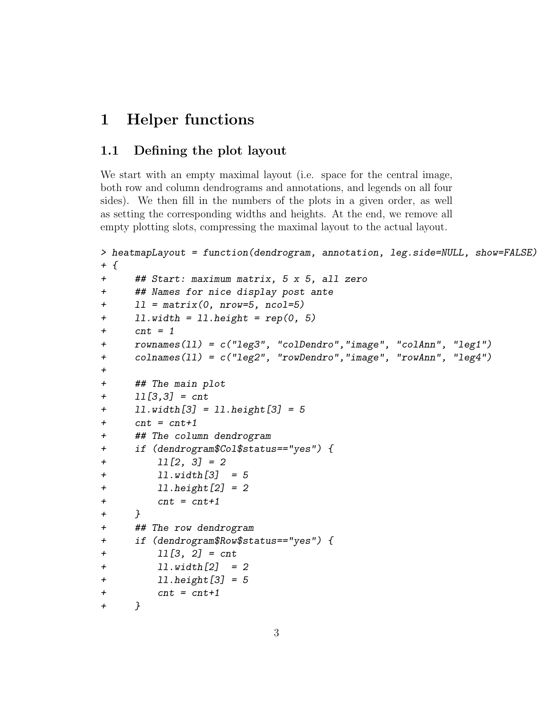## 1 Helper functions

### 1.1 Defining the plot layout

We start with an empty maximal layout (i.e. space for the central image, both row and column dendrograms and annotations, and legends on all four sides). We then fill in the numbers of the plots in a given order, as well as setting the corresponding widths and heights. At the end, we remove all empty plotting slots, compressing the maximal layout to the actual layout.

```
> heatmapLayout = function(dendrogram, annotation, leg.side=NULL, show=FALSE)
+ {
+ ## Start: maximum matrix, 5 x 5, all zero
+ ## Names for nice display post ante
+ 11 = matrix(0, nrow=5, ncol=5)+ ll.width = ll.height = rep(0, 5)
+ cnt = 1
+ rownames(ll) = c("leg3", "colDendro","image", "colAnn", "leg1")
+ colnames(ll) = c("leg2", "rowDendro","image", "rowAnn", "leg4")
+
+ ## The main plot
+ ll[3,3] = cnt
+ ll.width[3] = ll.height[3] = 5
+ cnt = cnt+1
+ ## The column dendrogram
+ if (dendrogram$Col$status=="yes") {
+ ll[2, 3] = 2
+ ll.width[3] = 5
+ ll.height[2] = 2
+ cnt = cnt+1
+ }
+ ## The row dendrogram
+ if (dendrogram$Row$status=="yes") {
+ ll[3, 2] = cnt
+ ll.width[2] = 2
+ ll.height[3] = 5
+ cnt = cnt+1
+ }
```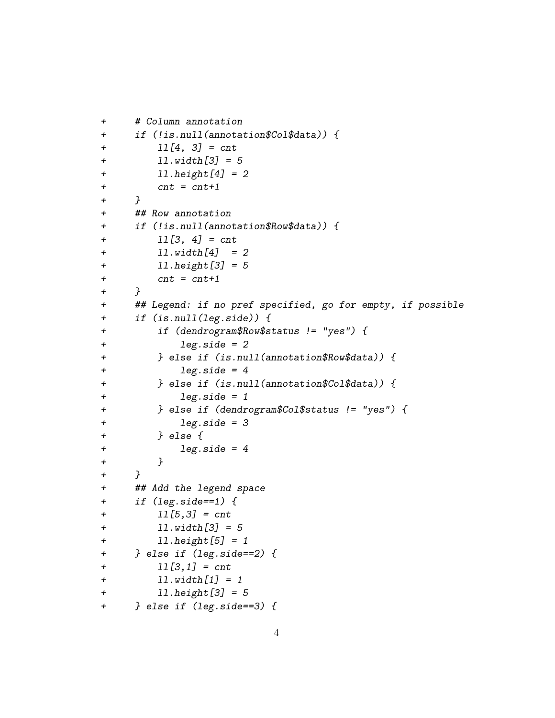```
+ # Column annotation
+ if (!is.null(annotation$Col$data)) {
+ ll[4, 3] = cnt
+ ll.width[3] = 5
+ ll.height[4] = 2
+ cnt = cnt+1
+ }
+ ## Row annotation
+ if (!is.null(annotation$Row$data)) {
+ ll[3, 4] = cnt
+ ll.width[4] = 2
+ ll.height[3] = 5
+ cnt = cnt+1
+ }
+ ## Legend: if no pref specified, go for empty, if possible
+ if (is.null(leg.side)) {
+ if (dendrogram$Row$status != "yes") {
+ leg.side = 2
+ } else if (is.null(annotation$Row$data)) {
+ leg.side = 4
+ } else if (is.null(annotation$Col$data)) {
+ leg.side = 1
+ } else if (dendrogram$Col$status != "yes") {
+ leg.side = 3
+ } else {
+ leg.side = 4
+ }
+ }
+ ## Add the legend space
+ if (leg.side==1) {
+ ll[5,3] = cnt
+ ll.width[3] = 5
+ ll.height[5] = 1
+ } else if (leg.side==2) {
+ ll[3,1] = cnt
+ ll.width[1] = 1
+ ll.height[3] = 5
+ } else if (leg.side==3) {
```

```
4
```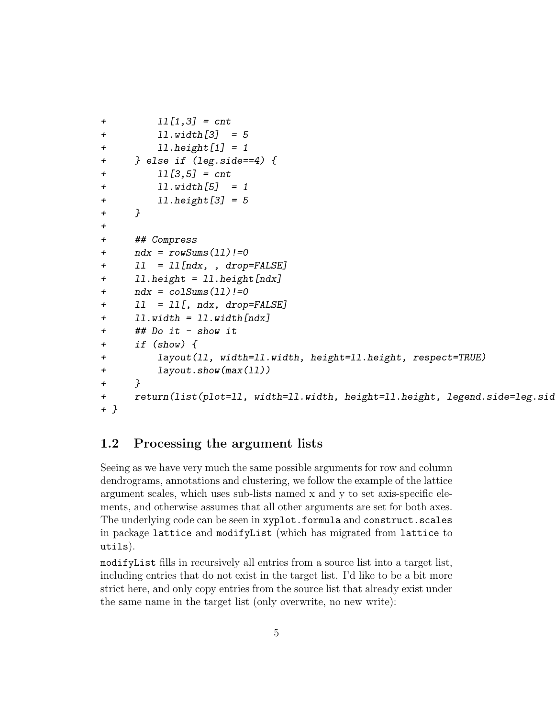```
+ ll[1,3] = cnt
+ ll.width[3] = 5
+ ll.height[1] = 1
+ } else if (leg.side==4) {
+ ll[3,5] = cnt
+ ll.width[5] = 1
+ ll.height[3] = 5
+ }
+
+ ## Compress
+ ndx = rowSums(11)!=0
+ ll = ll[ndx, , drop=FALSE]
+ 11. height = 11. height[ndx]+ ndx = colSums(11)!=0
+ ll = ll[, ndx, drop=FALSE]
+ ll.width = ll.width[ndx]
+ ## Do it - show it
+ if (show) {
+ layout(ll, width=ll.width, height=ll.height, respect=TRUE)
+ layout.show(max(ll))
+ }
+ return(list(plot=ll, width=ll.width, height=ll.height, legend.side=leg.sid
+ }
```
### 1.2 Processing the argument lists

Seeing as we have very much the same possible arguments for row and column dendrograms, annotations and clustering, we follow the example of the lattice argument scales, which uses sub-lists named x and y to set axis-specific elements, and otherwise assumes that all other arguments are set for both axes. The underlying code can be seen in xyplot.formula and construct.scales in package lattice and modifyList (which has migrated from lattice to utils).

modifyList fills in recursively all entries from a source list into a target list, including entries that do not exist in the target list. I'd like to be a bit more strict here, and only copy entries from the source list that already exist under the same name in the target list (only overwrite, no new write):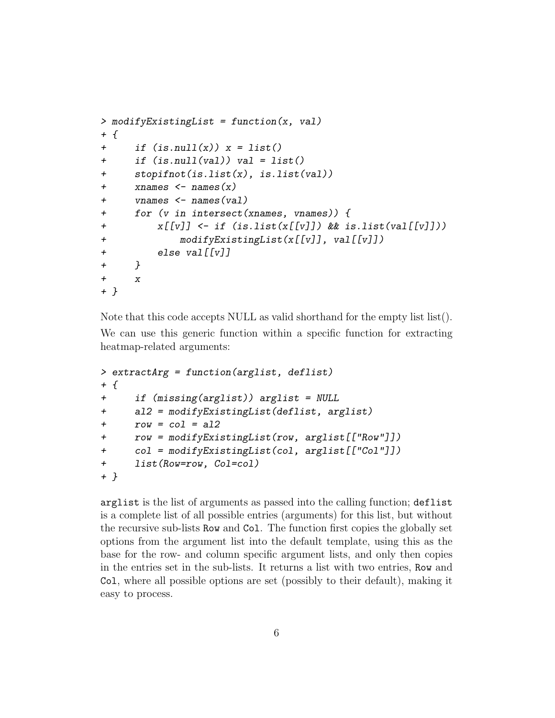```
> modifyExistingList = function(x, val)
+ {
+ if (is.null(x)) x = list()+ if (is.null(val)) val = list()
+ stopifnot(is.list(x), is.list(val))
+ xnames <- names(x)
+ vnames <- names(val)
+ for (v in intersect(xnames, vnames)) {
+ x[[v]] <- if (is.list(x[[v]]) && is.list(val[[v]]))
+ modifyExistingList(x[[v]], val[[v]])
+ else val[[v]]
+ }
+ x
+ }
```
Note that this code accepts NULL as valid shorthand for the empty list list(). We can use this generic function within a specific function for extracting heatmap-related arguments:

```
> extractArg = function(arglist, deflist)
+ {
+ if (missing(arglist)) arglist = NULL
+ al2 = modifyExistingList(deflist, arglist)
+ row = col = al2
+ row = modifyExistingList(row, arglist[["Row"]])
+ col = modifyExistingList(col, arglist[["Col"]])
+ list(Row=row, Col=col)
+ }
```
arglist is the list of arguments as passed into the calling function; deflist is a complete list of all possible entries (arguments) for this list, but without the recursive sub-lists Row and Col. The function first copies the globally set options from the argument list into the default template, using this as the base for the row- and column specific argument lists, and only then copies in the entries set in the sub-lists. It returns a list with two entries, Row and Col, where all possible options are set (possibly to their default), making it easy to process.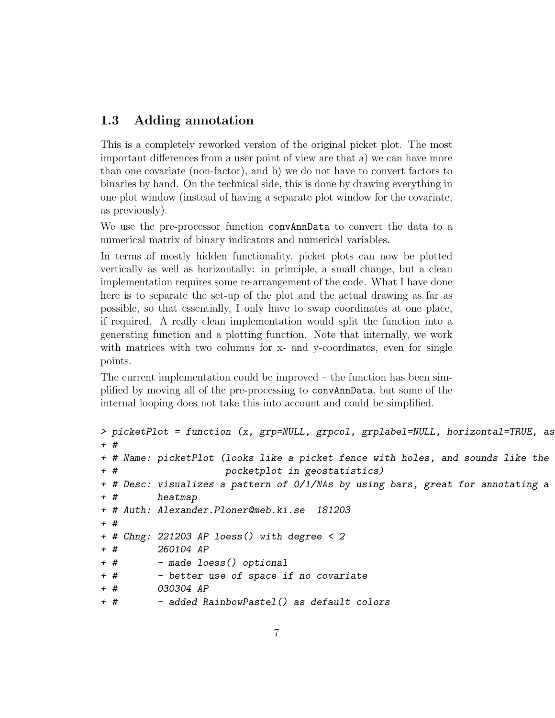### 1.3 Adding annotation

This is a completely reworked version of the original picket plot. The most important differences from a user point of view are that a) we can have more than one covariate (non-factor), and b) we do not have to convert factors to binaries by hand. On the technical side, this is done by drawing everything in one plot window (instead of having a separate plot window for the covariate, as previously).

We use the pre-processor function convAnnData to convert the data to a numerical matrix of binary indicators and numerical variables.

In terms of mostly hidden functionality, picket plots can now be plotted vertically as well as horizontally: in principle, a small change, but a clean implementation requires some re-arrangement of the code. What I have done here is to separate the set-up of the plot and the actual drawing as far as possible, so that essentially, I only have to swap coordinates at one place, if required. A really clean implementation would split the function into a generating function and a plotting function. Note that internally, we work with matrices with two columns for x- and y-coordinates, even for single points.

The current implementation could be improved – the function has been simplified by moving all of the pre-processing to convAnnData, but some of the internal looping does not take this into account and could be simplified.

```
> picketPlot = function (x, grp=NULL, grpcol, grplabel=NULL, horizontal=TRUE, as
+ #
+ # Name: picketPlot (looks like a picket fence with holes, and sounds like the
+ # pocketplot in geostatistics)
+ # Desc: visualizes a pattern of 0/1/NAs by using bars, great for annotating a
+ # heatmap
+ # Auth: Alexander.Ploner@meb.ki.se 181203
+ #
+ # Chng: 221203 AP loess() with degree < 2
+ # 260104 AP
+ # - made loess() optional
+ # - better use of space if no covariate
+ # 030304 AP
+ # - added RainbowPastel() as default colors
```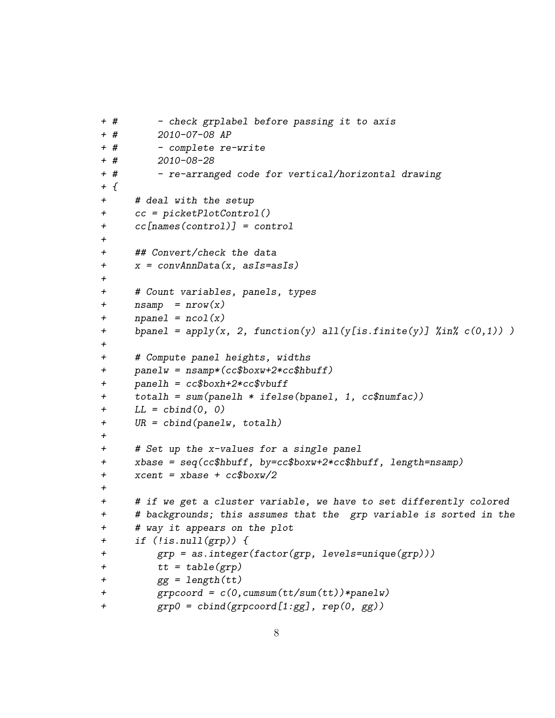```
+ # - check grplabel before passing it to axis
+ # 2010-07-08 AP
+ # - complete re-write
+ # 2010-08-28
+ # - re-arranged code for vertical/horizontal drawing
+ {
+ # deal with the setup
+ cc = picketPlotControl()
+ cc[names(control)] = control
+
+ ## Convert/check the data
+ x = convAnnData(x, asIs=asIs)
+
+ # Count variables, panels, types
+ n\textrm{ samp} = n\textrm{row}(x)+ npanel = ncol(x)+ bpanel = apply(x, 2, function(y) all(y[is.finite(y)] \text{\%in\%} c(0,1)) )
+
+ # Compute panel heights, widths
+ panelw = nsamp*(cc$boxw+2*cc$hbuff)
+ panelh = cc$boxh+2*cc$vbuff
+ totalh = sum(panelh * ifelse(bpanel, 1, cc$numfac))
+ LL = cbind(0, 0)+ UR = cbind(panelw, totalh)
+
+ # Set up the x-values for a single panel
+ xbase = seq(cc$hbuff, by=cc$boxw+2*cc$hbuff, length=nsamp)
+ xcent = xbase + cc$boxw/2
+
+ # if we get a cluster variable, we have to set differently colored
+ # backgrounds; this assumes that the grp variable is sorted in the
+ # way it appears on the plot
+ if (!is.null(grp)) {
+ grp = as.integer(factor(grp, levels=unique(grp)))
+ tt = table(grp)+ gg = length(tt)+ grpcoord = c(0,cumsum(tt/sum(tt))*panelw)
+ grp0 = cbind(grpcoord[1:gg], rep(0, gg))
```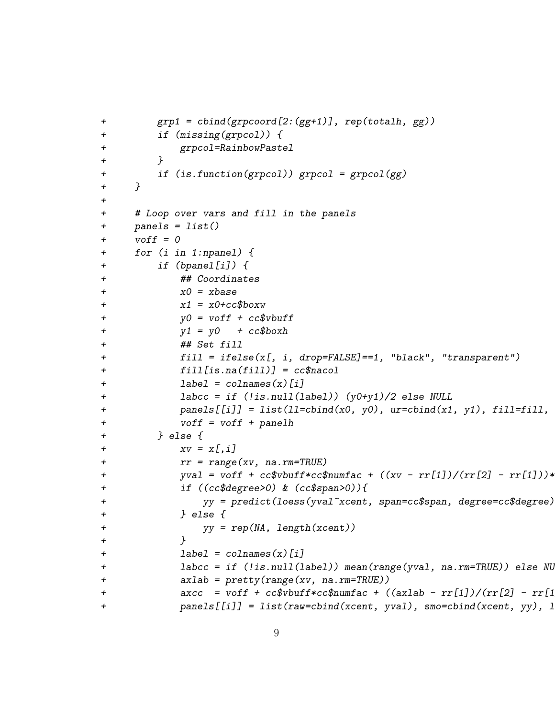```
+ grp1 = cbind(grpcoord[2:(gg+1)], rep(totalh, gg))
+ if (missing(grpcol)) {
+ grpcol=RainbowPastel
+ }
+ if (is.function(grpcol)) grpcol = grpcol(gg)
+ }
+
+ # Loop over vars and fill in the panels
+ panels = list()
+ voff = 0+ for (i in 1:npanel) {
+ if (bpanel[i]) {
+ ## Coordinates
x0 = xbase+ x1 = x0 + cc$box+ y0 = voff + cc$vbuff
+ y1 = y0 + cc$boxh+ ## Set fill
+ fill = ifelse(x[, i, drop=FALSE]==1, "black", "transparent")
+ fill[is.na(fill)] = cc$nacol
+ label = colnames(x)[i]
+ labcc = if (!is.null(label)) (y0+y1)/2 else NULL
+ panels[[i]] = list(11=cbind(x0, y0), ur=cbind(x1, y1), fill=fill,+ voff = voff + panelh
+ } else {
+ xv = x[, i]+ rr = range(xv, na.rm=TRUE)+ yval = voff + cc$vbuff*cc$numfac + ((xv - rr[1])/(rr[2] - rr[1]))*+ if ((cc$degree>0) & (cc$span>0)){
+ yy = predict(loess(yval~xcent, span=cc$span, degree=cc$degree))
+ } else {
+ yy = rep(NA, length(xcent))
+ }
+ label = colnames(x)[i]
+       labcc = if (!is.null(label)) mean(range(yval, na.rm=TRUE)) else NU
+ axlab = pretty(range(xv, na.rm=TRUE))
+ axcc = voff + cc$vbuff*cc$numfac + ((axlab - rr[1])/(rr[2] - rr[1]))+ panels[[i]] = list(raw=cbind(xcent, yval), smo=cbind(xcent, yy), l
```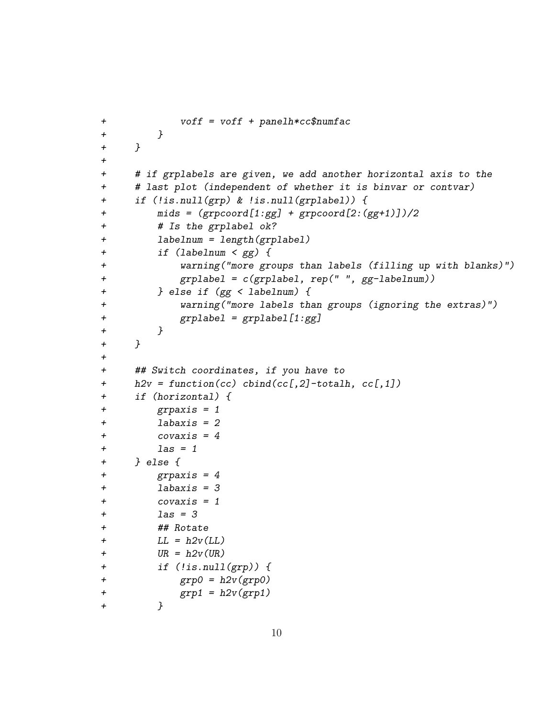```
+ voff = voff + panelh*cc$numfac
+ }
+ }
+
+ # if grplabels are given, we add another horizontal axis to the
+ # last plot (independent of whether it is binvar or contvar)
+ if (!is.null(grp) & !is.null(grplabel)) {
+ mids = (grpcoord[1:gg] + grpcoord[2:(gg+1)])/2
+ # Is the grplabel ok?
+ labelnum = length(grplabel)
+ if (labelnum < gg) {
+ warning("more groups than labels (filling up with blanks)")
+ grplabel = c(grplabel, rep(" ", gg-labelnum))
+ } else if (gg < labelnum) {
+ warning("more labels than groups (ignoring the extras)")
+ grplabel = grplabel[1:gg]
+ }
+ }
+
+ ## Switch coordinates, if you have to
+ h2v = function(cc) cbind(cc[,2]-totalh, cc[,1])
+ if (horizontal) {
+ grpaxis = 1
+ labaxis = 2
+ covaxis = 4
+ \qquad \qquad \qquad \qquad \qquad \qquad \qquad \qquad \qquad \qquad \qquad \qquad \qquad \qquad \qquad \qquad \qquad \qquad \qquad \qquad \qquad \qquad \qquad \qquad \qquad \qquad \qquad \qquad \qquad \qquad \qquad \qquad \qquad \qquad \qquad \qquad \qquad \qquad \qquad \qquad \qquad \qquad \qquad + } else {
+ grpaxis = 4
+ labaxis = 3
+ covaxis = 1
+ \qquad \qquad \qquad \qquad \qquad \qquad \qquad \qquad \qquad \qquad \qquad \qquad \qquad \qquad \qquad \qquad \qquad \qquad \qquad \qquad \qquad \qquad \qquad \qquad \qquad \qquad \qquad \qquad \qquad \qquad \qquad \qquad \qquad \qquad \qquad \qquad \qquad+ ## Rotate
+ LL = h2v(LL)+ UR = h2v(UR)+ if (!is.null(grp)) {
+ \text{grp0} = \text{h2v}(\text{grp0})+ grp1 = h2v(grp1)
+ }
```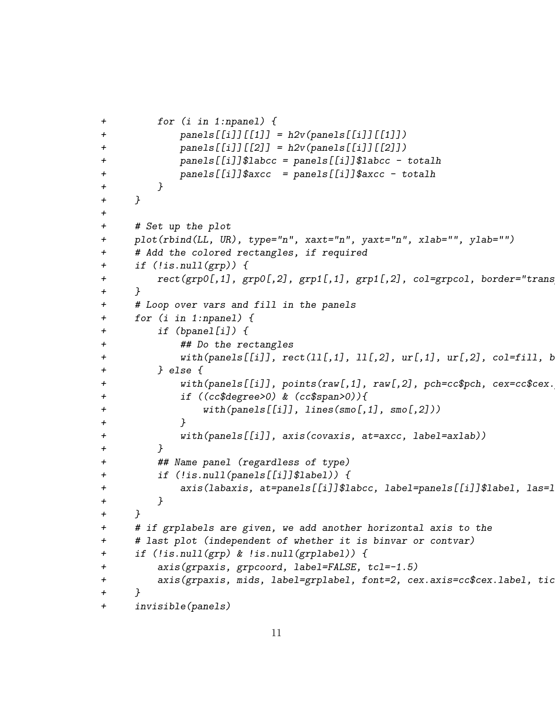```
+ for (i in 1:npanel) {
+ panels[[i]][[1]] = h2v(panels[[i]][[1]])
+ panels[[i]][[2]] = h2v(panels[[i]][[2]])
+ panels[[i]]$labcc = panels[[i]]$labcc - totalh
+ panels[[i]]$axcc = panels[[i]]$axcc - totalh
+ }
+ }
+
+ # Set up the plot
+ plot(rbind(LL, UR), type="n", xaxt="n", yaxt="n", xlab="", ylab="")
+ # Add the colored rectangles, if required
+ if (!is.null(grp)) {
+ rect(grp0[,1], grp0[,2], grp1[,1], grp1[,2], col=grpcol, border="trans+ }
+ # Loop over vars and fill in the panels
+ for (i in 1:npanel) {
+ if (bpanel[i]) {
+ ## Do the rectangles
+ with(panels[[i]], rect([1[,1], 1][,2], ur[,1], ur[,2], col=fill, b+ } else {
+ with(panels[[i]], points(raw[,1], raw[,2], pch=cc$pch, cex=cc$cex.
+ if ((cc$degree>0) & (cc$span>0)){
+ with(panels[[i]], lines(smo[,1], smo[,2]))
+ }
+ with(panels[[i]], axis(covaxis, at=axcc, label=axlab))
+ }
+ ## Name panel (regardless of type)
+ if (!is.null(panels[[i]]$label)) {
+        axis(labaxis, at=panels[[i]]$labcc, label=panels[[i]]$label, las=1
+ }
+ }
+ # if grplabels are given, we add another horizontal axis to the
+ # last plot (independent of whether it is binvar or contvar)
+ if (!is.null(grp) & !is.null(grplabel)) {
+ axis(grpaxis, grpcoord, label=FALSE, tcl=-1.5)
+ axis(grpaxis, mids, label=grplabel, font=2, cex.axis=cc$cex.label, tic
+ }
+ invisible(panels)
```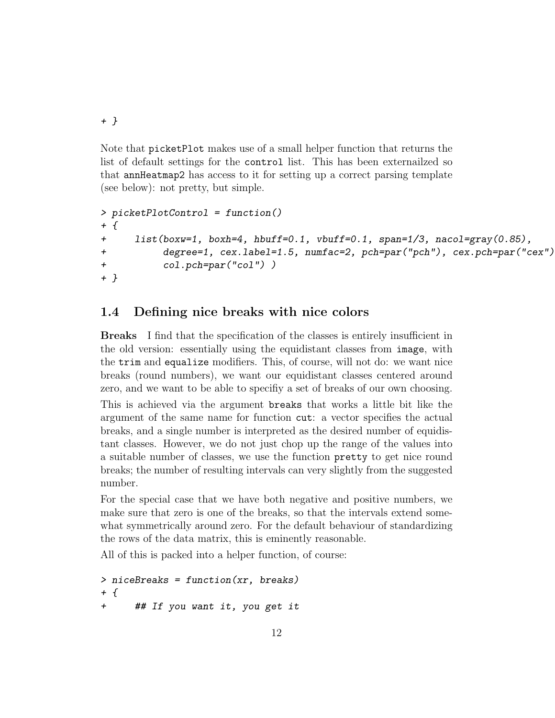+ }

Note that picketPlot makes use of a small helper function that returns the list of default settings for the control list. This has been externailzed so that annHeatmap2 has access to it for setting up a correct parsing template (see below): not pretty, but simple.

```
> picketPlotControl = function()
+ {
+ list(boxw=1, boxh=4, hbuff=0.1, vbuff=0.1, span=1/3, nacol=gray(0.85),
+ degree=1, cex.label=1.5, numfac=2, pch=par("pch"), cex.pch=par("cex"),
+ col.pch=par("col") )
+ }
```
#### 1.4 Defining nice breaks with nice colors

Breaks I find that the specification of the classes is entirely insufficient in the old version: essentially using the equidistant classes from image, with the trim and equalize modifiers. This, of course, will not do: we want nice breaks (round numbers), we want our equidistant classes centered around zero, and we want to be able to specifiy a set of breaks of our own choosing.

This is achieved via the argument breaks that works a little bit like the argument of the same name for function cut: a vector specifies the actual breaks, and a single number is interpreted as the desired number of equidistant classes. However, we do not just chop up the range of the values into a suitable number of classes, we use the function pretty to get nice round breaks; the number of resulting intervals can very slightly from the suggested number.

For the special case that we have both negative and positive numbers, we make sure that zero is one of the breaks, so that the intervals extend somewhat symmetrically around zero. For the default behaviour of standardizing the rows of the data matrix, this is eminently reasonable.

All of this is packed into a helper function, of course:

```
> niceBreaks = function(xr, breaks)
+ {
+ ## If you want it, you get it
```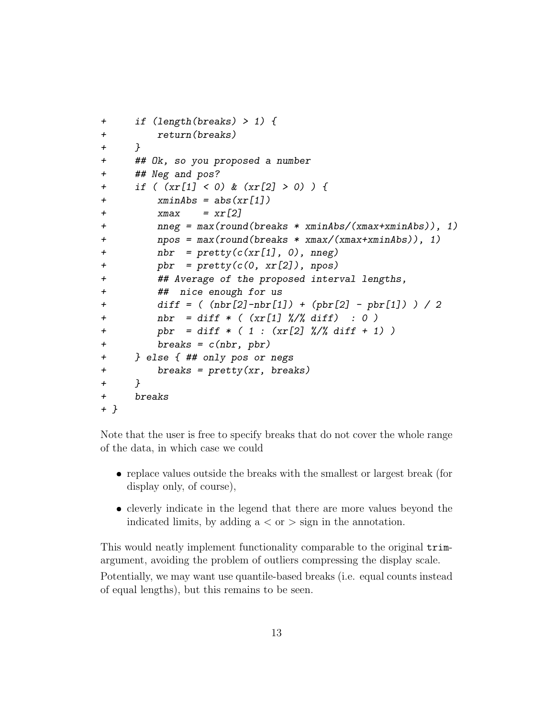```
+ if (length(breaks) > 1) {
+ return(breaks)
+ }
+ ## Ok, so you proposed a number
+ ## Neg and pos?
+ if ( (xr[1] < 0) & (xr[2] > 0) ) {
+ xminAbs = abs(xr[1])+ xmax = xr[2]+ nneg = max(round(breaks * xminAbs/(xmax+xminAbs)), 1)
+ npos = max(round(breaks * xmax/(xmax+xminAbs)), 1)
+ nbr = pretty(c(xr[1], 0), nneg)+ pbr = pretty(c(0, xr[2]), npos)+ ## Average of the proposed interval lengths,
+ ## nice enough for us
+ diff = ( (nbr[2]-nbr[1]) + (pbr[2] - pbr[1]) ) / 2
+ nbr = diff * ( (xr[1] %/% diff) : 0 )
+ pbr = diff * ( 1 : (xr[2] %/% diff + 1) )
+ breaks = c(hbr, phr)+ } else { ## only pos or negs
+ breaks = pretty(xr, breaks)
+ }
+ breaks
+ }
```
Note that the user is free to specify breaks that do not cover the whole range of the data, in which case we could

- replace values outside the breaks with the smallest or largest break (for display only, of course),
- cleverly indicate in the legend that there are more values beyond the indicated limits, by adding  $a < or > sign$  in the annotation.

This would neatly implement functionality comparable to the original trimargument, avoiding the problem of outliers compressing the display scale.

Potentially, we may want use quantile-based breaks (i.e. equal counts instead of equal lengths), but this remains to be seen.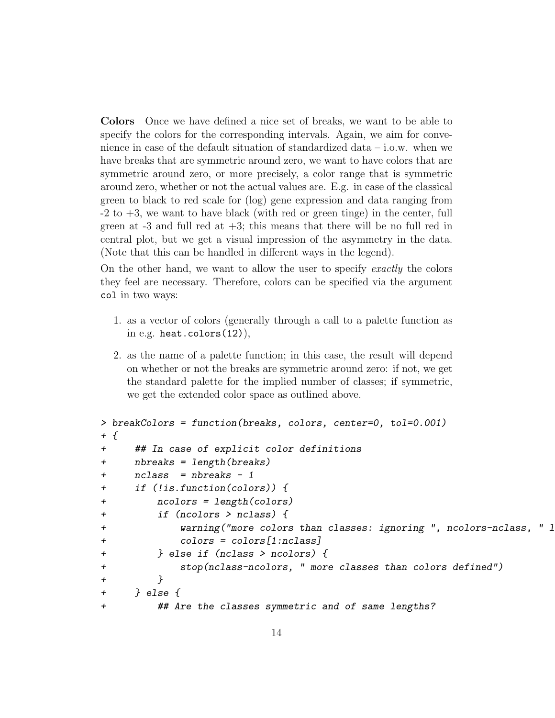Colors Once we have defined a nice set of breaks, we want to be able to specify the colors for the corresponding intervals. Again, we aim for convenience in case of the default situation of standardized data – i.o.w. when we have breaks that are symmetric around zero, we want to have colors that are symmetric around zero, or more precisely, a color range that is symmetric around zero, whether or not the actual values are. E.g. in case of the classical green to black to red scale for (log) gene expression and data ranging from  $-2$  to  $+3$ , we want to have black (with red or green tinge) in the center, full green at  $-3$  and full red at  $+3$ ; this means that there will be no full red in central plot, but we get a visual impression of the asymmetry in the data. (Note that this can be handled in different ways in the legend).

On the other hand, we want to allow the user to specify exactly the colors they feel are necessary. Therefore, colors can be specified via the argument col in two ways:

- 1. as a vector of colors (generally through a call to a palette function as in e.g. heat.colors $(12)$ ),
- 2. as the name of a palette function; in this case, the result will depend on whether or not the breaks are symmetric around zero: if not, we get the standard palette for the implied number of classes; if symmetric, we get the extended color space as outlined above.

```
> breakColors = function(breaks, colors, center=0, tol=0.001)
+ {
+ ## In case of explicit color definitions
+ nbreaks = length(breaks)
+ nclass = nbreaks - 1
+ if (!is.function(colors)) {
+ ncolors = length(colors)
+ if (ncolors > nclass) {
+ warning("more colors than classes: ignoring ", ncolors-nclass, " 1
+ colors = colors[1:nclass]
+ } else if (nclass > ncolors) {
+ stop(nclass-ncolors, " more classes than colors defined")
+ }
+ } else {
+ ## Are the classes symmetric and of same lengths?
```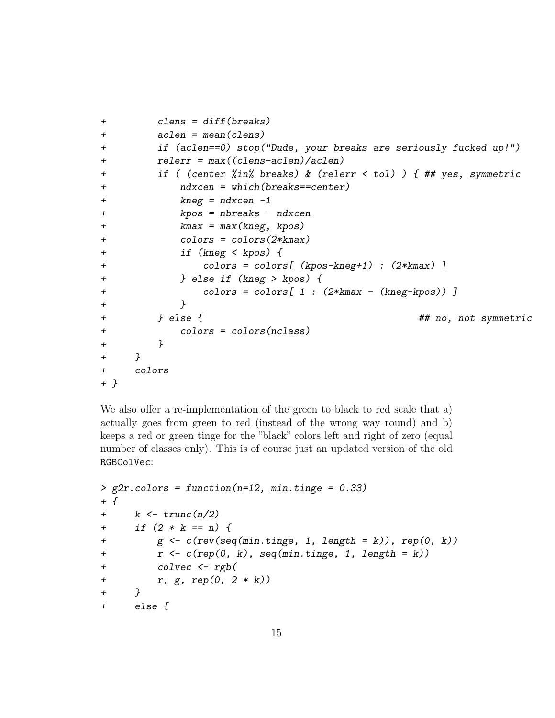```
+ clens = diff(breaks)
+ aclen = mean(clens)
+ if (aclen==0) stop("Dude, your breaks are seriously fucked up!")
+ relerr = max((clens-aclen)/aclen)
+ if ( (center %in% breaks) & (relerr < tol) ) { ## yes, symmetric
+ ndxcen = which(breaks==center)
+ kneg = ndxcen -1
+ kpos = nbreaks - ndxcen
+ kmax = max(kneg, kpos)
+ colors = colors(2*kmax)
+ if (kneg < kpos) {
+ colors = colors[ (kpos-kneg+1) : (2*kmax) ]
+ } else if (kneg > kpos) {
+ colors = colors[ 1 : (2*kmax - (kneg-kpos)) ]
+ }
+ } else { ## no, not symmetric
+ colors = colors(nclass)
+ }
+ }
+ colors
+ }
```
We also offer a re-implementation of the green to black to red scale that a) actually goes from green to red (instead of the wrong way round) and b) keeps a red or green tinge for the "black" colors left and right of zero (equal number of classes only). This is of course just an updated version of the old RGBColVec:

```
> g2r.colors = function(n=12, min.tinge = 0.33)
+ {
+ k \leq true(n/2)+ if (2 * k == n) {
+ g <- c(rev(seq(min.tinge, 1, length = k)), rep(0, k))
+ r \leftarrow c(\text{rep}(0, k), \text{seq}(\text{min.time}, 1, \text{length} = k))+ colvec <- rgb(
+ r, g, rep(0, 2 * k))
+ }
+ else {
```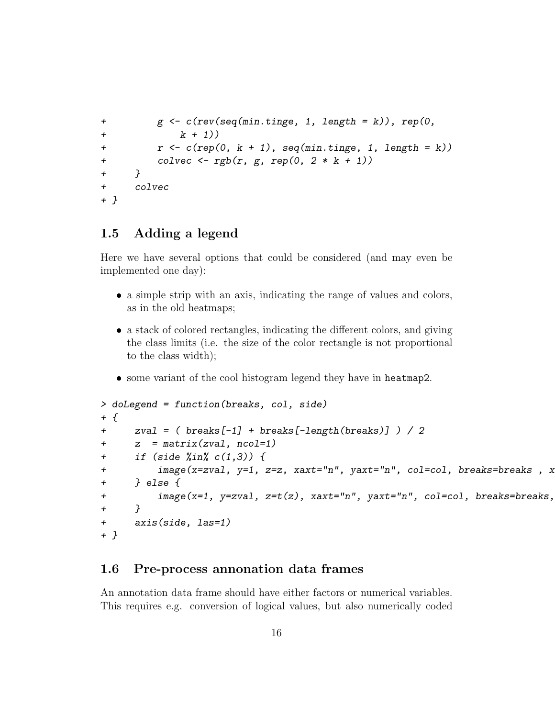```
+ g <- c(rev(seq(min.tinge, 1, length = k)), rep(0,
+ k + 1)+ r < -c(rep(0, k + 1)), seq(min.tinge, 1, length = k))
+ colvec \leftarrow rgb(r, g, rep(0, 2 * k + 1))
+ }
+ colvec
+ }
```
#### 1.5 Adding a legend

Here we have several options that could be considered (and may even be implemented one day):

- a simple strip with an axis, indicating the range of values and colors, as in the old heatmaps;
- a stack of colored rectangles, indicating the different colors, and giving the class limits (i.e. the size of the color rectangle is not proportional to the class width);
- some variant of the cool histogram legend they have in heatmap2.

```
> doLegend = function(breaks, col, side)
+ {
+ zval = ( breaks[-1] + breaks[-length(breaks)] ) / 2
+ z = matrix(zval, ncol=1)
+ if (side %in% c(1,3)) {
+ image(x=zval, y=1, z=z, xaxt="n", yaxt="n", col=col, breaks=breaks, x
+ } else {
+ image(x=1, y=zval, z=t(z), xaxt="n", yaxt="n", col=col, breaks=breaks,
+ }
+ axis(side, las=1)
+ }
```
#### 1.6 Pre-process annonation data frames

An annotation data frame should have either factors or numerical variables. This requires e.g. conversion of logical values, but also numerically coded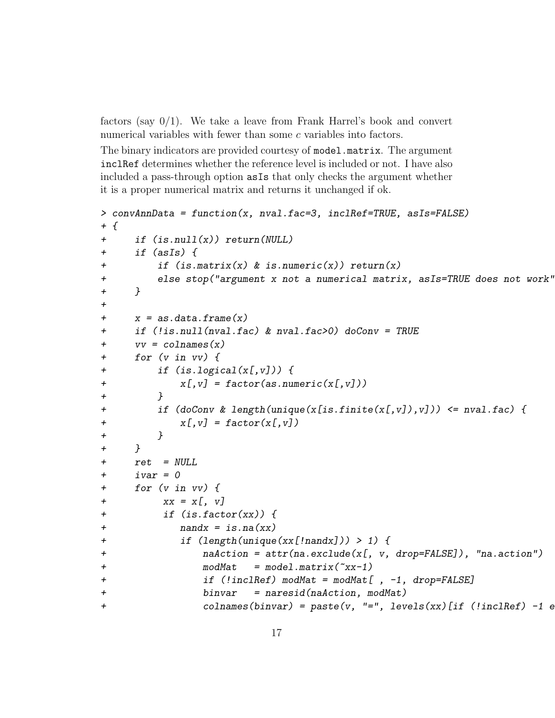factors (say  $0/1$ ). We take a leave from Frank Harrel's book and convert numerical variables with fewer than some c variables into factors.

The binary indicators are provided courtesy of model.matrix. The argument inclRef determines whether the reference level is included or not. I have also included a pass-through option asIs that only checks the argument whether it is a proper numerical matrix and returns it unchanged if ok.

```
> convAnnData = function(x, nval.fac=3, inclRef=TRUE, asIs=FALSE)
+ {
+ if (is.null(x)) return(NULL)
+ if (asIs) {
+ if (is.matrix(x) & is.numeric(x)) return(x)
+ else stop("argument x not a numerical matrix, asIs=TRUE does not work")
+ }
+
+ x = as.data-frame(x)+ if (!is.null(nval.fac) & nval.fac>0) doConv = TRUE
+ vv = \text{colnames}(x)+ for (v in vv) {
+ if (is.logical(x[,v])) {
+ x[, v] = factor(as.numeric(x[, v]))+ }
+ if (doConv & length(unique(x[is.finite(x[,v]),v])) <= nval.fac) {
+ X[y] = factor(X[y])+ }
+ }
+ ret = NULL
+ ivar = 0
+ for (v in vv) {
+ xx = x[, y]+ if (is.factor(xx)) {
+ nandx = is.na(xx)
+ if (length(unique(xx[!nandx])) > 1) {
+ naAction = attr(na.exclude(x[, v, drop=FALSE]), "na.action")
+ modMat = model.matrix(\tilde{r}xx-1)
+ if (!inclRef) modMat = modMat[, -1, drop=FALSE]
+ binvar = naresid(naAction, modMat)
+ colnames(binvar) = paste(v, "=", levels(xx)[if (!inclRef) -1 e
```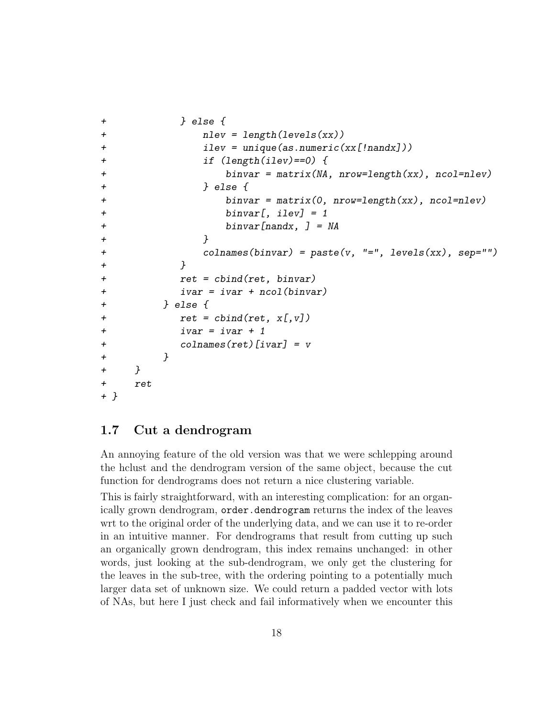```
+ } else {
+ nlev = length(levels(xx))
+ ilev = unique(as.numeric(xx[!nandx]))
+ if (length(ilev)==0) {
+ binvar = matrix(NA, nrow=length(xx), ncol=nlev)
+ } else {
+ binvar = matrix(0, nrow=length(xx), ncol=nlev)
+ binvar[, ilev] = 1
+ binvar[nandx, ] = NA
+ }
+ colnames(binvar) = paste(v, "=", levels(xx), sep="")
+ }
+ ret = cbind(ret, binvar)
+ ivar = ivar + ncol(binvar)
+ } else {
+ ret = cbind(ret, x[, v])+ ivar = ivar + 1
+ colnames(ret)[ivar] = v
+ }
+ }
+ ret
+ }
```
### 1.7 Cut a dendrogram

An annoying feature of the old version was that we were schlepping around the hclust and the dendrogram version of the same object, because the cut function for dendrograms does not return a nice clustering variable.

This is fairly straightforward, with an interesting complication: for an organically grown dendrogram, order.dendrogram returns the index of the leaves wrt to the original order of the underlying data, and we can use it to re-order in an intuitive manner. For dendrograms that result from cutting up such an organically grown dendrogram, this index remains unchanged: in other words, just looking at the sub-dendrogram, we only get the clustering for the leaves in the sub-tree, with the ordering pointing to a potentially much larger data set of unknown size. We could return a padded vector with lots of NAs, but here I just check and fail informatively when we encounter this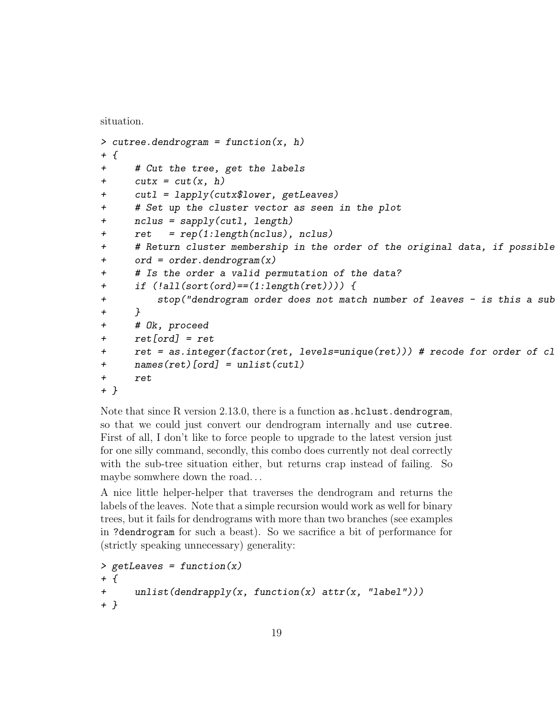situation.

```
> cutree.dendrogram = function(x, h)+ {
+ # Cut the tree, get the labels
+ \text{cutx} = \text{cut}(x, h)+ cutl = lapply(cutx$lower, getLeaves)
+ # Set up the cluster vector as seen in the plot
+ nclus = sapply(cutl, length)
+ ret = rep(1:length(nclus), nclus)
+ # Return cluster membership in the order of the original data, if possible
+ ord = order.dendrogram(x)
+ # Is the order a valid permutation of the data?
+ if (!all(sort(ord)==(1:length(ret)))) {
+ stop("dendrogram order does not match number of leaves - is this a sub
+ }
+ # Ok, proceed
+ ret[ord] = ret
+ ret = as.integer(factor(ret, levels=unique(ret))) # recode for order of cl
+ names(ret)[ord] = unlist(cutl)
+ ret
+ }
```
Note that since R version 2.13.0, there is a function as  $.$  hclust.dendrogram, so that we could just convert our dendrogram internally and use cutree. First of all, I don't like to force people to upgrade to the latest version just for one silly command, secondly, this combo does currently not deal correctly with the sub-tree situation either, but returns crap instead of failing. So maybe somwhere down the road. . .

A nice little helper-helper that traverses the dendrogram and returns the labels of the leaves. Note that a simple recursion would work as well for binary trees, but it fails for dendrograms with more than two branches (see examples in ?dendrogram for such a beast). So we sacrifice a bit of performance for (strictly speaking unnecessary) generality:

```
> getLeaves = function(x)
+ {
+ unlist(dendrapply(x, function(x) attr(x, "label")))
+ }
```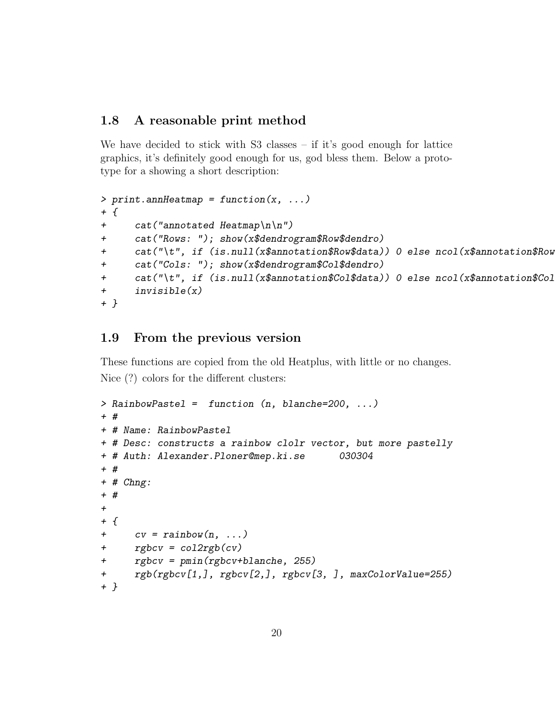#### 1.8 A reasonable print method

We have decided to stick with  $S3$  classes – if it's good enough for lattice graphics, it's definitely good enough for us, god bless them. Below a prototype for a showing a short description:

```
> print.annHeatmap = function(x, ...)+ {
+ cat("annotated Heatmap\ln \ln")
+ cat("Rows: "); show(x$dendrogram$Row$dendro)
+ cat("\t", if (is.null(x$annotation$Row$data)) 0 else ncol(x$annotation$Row
+ cat("Cols: "); show(x$dendrogram$Col$dendro)
+ cat("\t", if (is.null(x$annotation$Col$data)) 0 else ncol(x$annotation$Col
+ invisible(x)
+ }
```
### 1.9 From the previous version

These functions are copied from the old Heatplus, with little or no changes. Nice (?) colors for the different clusters:

```
> RainbowPastel = function (n, blanche=200, ...)
+ #
+ # Name: RainbowPastel
+ # Desc: constructs a rainbow clolr vector, but more pastelly
+ # Auth: Alexander.Ploner@mep.ki.se 030304
+ #
+ # Chng:
+ #
+
+ f+ cv = \text{rainbow}(n, \ldots)+ rgbcv = col2rgb(cv)
+ rgbcv = pmin(rgbcv+blanche, 255)
+ rgb(rgbcv[1,], rgbcv[2,], rgbcv[3, ], maxColorValue=255)
+ }
```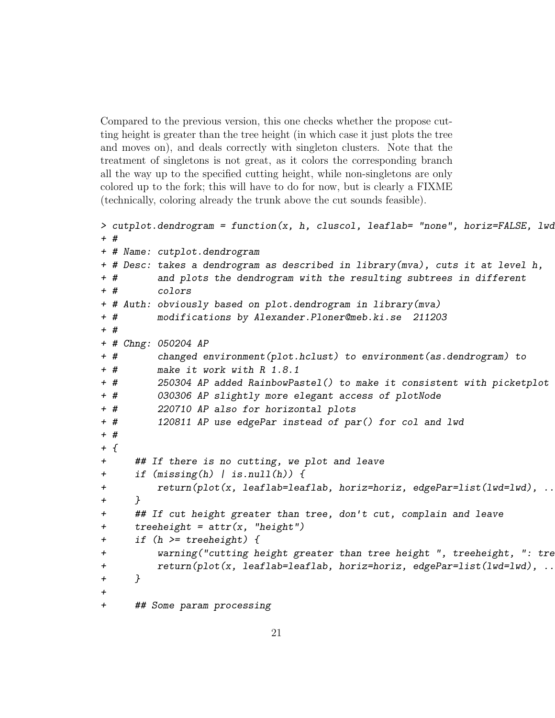Compared to the previous version, this one checks whether the propose cutting height is greater than the tree height (in which case it just plots the tree and moves on), and deals correctly with singleton clusters. Note that the treatment of singletons is not great, as it colors the corresponding branch all the way up to the specified cutting height, while non-singletons are only colored up to the fork; this will have to do for now, but is clearly a FIXME (technically, coloring already the trunk above the cut sounds feasible).

```
> cutplot.dendrogram = function(x, h, cluscol, leaflab= "none", horiz=FALSE, lwd
+ #
+ # Name: cutplot.dendrogram
+ # Desc: takes a dendrogram as described in library(mva), cuts it at level h,
+ # and plots the dendrogram with the resulting subtrees in different
+ # colors
+ # Auth: obviously based on plot.dendrogram in library(mva)
+ # modifications by Alexander.Ploner@meb.ki.se 211203
+ #
+ # Chng: 050204 AP
+ # changed environment(plot.hclust) to environment(as.dendrogram) to
+ # make it work with R 1.8.1
+ # 250304 AP added RainbowPastel() to make it consistent with picketplot
+ # 030306 AP slightly more elegant access of plotNode
+ # 220710 AP also for horizontal plots
+ # 120811 AP use edgePar instead of par() for col and lwd
+ #
+ f+ ## If there is no cutting, we plot and leave
+ if (missing(h) | is.null(h)) {
+ return(plot(x, leaflab=leaflab, horiz=horiz, edgePar=list(lwd=lwd), ...))
+ }
+ ## If cut height greater than tree, don't cut, complain and leave
+ treeheight = attr(x, "height")+ if (h >= treeheight) {
+ warning("cutting height greater than tree height ", treeheight, ": tre
+ return(plot(x, leaflab=leaflab, horiz=horiz, edgePar=list(lwd=lwd), ...
+ }
+
+ ## Some param processing
```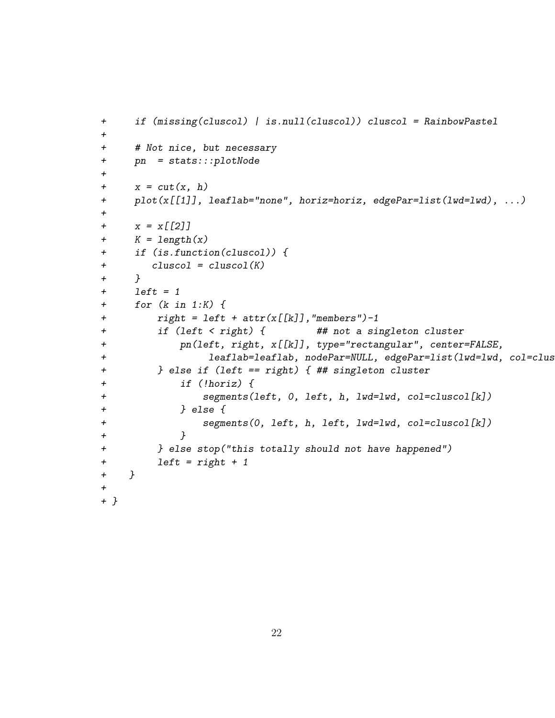```
+ if (missing(cluscol) | is.null(cluscol)) cluscol = RainbowPastel
+
+ # Not nice, but necessary
+ pn = stats:::plotNode
+
+ x = cut(x, h)+ plot(x[[1]], leaflab="none", horiz=horiz, edgePar=list(lwd=lwd), ...)
+
+ x = x[[2]]+ K = length(x)+ if (is.function(cluscol)) {
+ cluscol = cluscol(K)
+ }
+ left = 1+ for (k in 1:K) {
+ right = left + attr(x[[k]], "members") - 1+ if (left < right) { ## not a singleton cluster
+ pn(left, right, x[[k]], type="rectangular", center=FALSE,
+ leaflab=leaflab, nodePar=NULL, edgePar=list(lwd=lwd, col=clus
+ } else if (left == right) { ## singleton cluster
+ if (!horiz) {
+ segments(left, 0, left, h, lwd=lwd, col=cluscol[k])
+ } else {
+ segments(0, left, h, left, lwd=lwd, col=cluscol[k])
+ }
+ } else stop("this totally should not have happened")
+ left = right + 1
+ }
+
+ }
```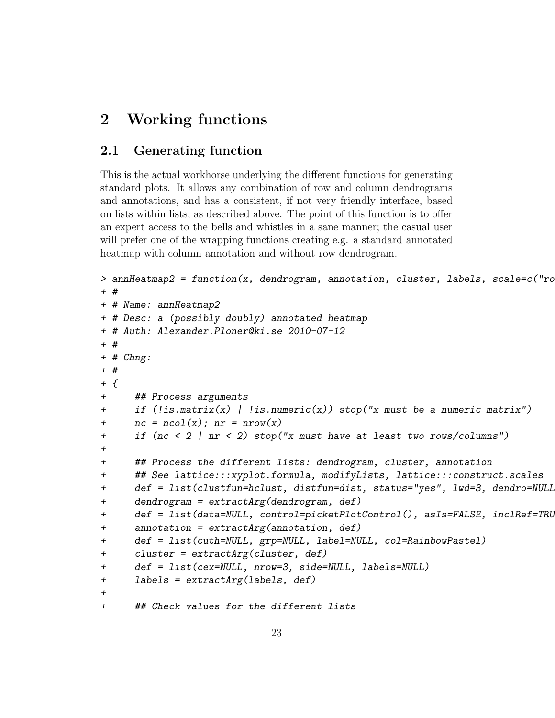## 2 Working functions

#### 2.1 Generating function

This is the actual workhorse underlying the different functions for generating standard plots. It allows any combination of row and column dendrograms and annotations, and has a consistent, if not very friendly interface, based on lists within lists, as described above. The point of this function is to offer an expert access to the bells and whistles in a sane manner; the casual user will prefer one of the wrapping functions creating e.g. a standard annotated heatmap with column annotation and without row dendrogram.

```
> annHeatmap2 = function(x, dendrogram, annotation, cluster, labels, scale=c("ro
+ #
+ # Name: annHeatmap2
+ # Desc: a (possibly doubly) annotated heatmap
+ # Auth: Alexander.Ploner@ki.se 2010-07-12
+ #
+ # Chng:
+ #
+ {
+ ## Process arguments
+ if (!is.matrix(x) | !is.numeric(x)) stop("x must be a numeric matrix")
+ nc = ncol(x); nr = nrow(x)+ if (nc < 2 | nr < 2) stop("x must have at least two rows/columns")
+
+ ## Process the different lists: dendrogram, cluster, annotation
+ ## See lattice:::xyplot.formula, modifyLists, lattice:::construct.scales
+ def = list(clustfun=hclust, distfun=dist, status="yes", lwd=3, dendro=NULL)
+ dendrogram = extractArg(dendrogram, def)
+ def = list(data=NULL, control=picketPlotControl(), asIs=FALSE, inclRef=TRU
+ annotation = extractArg(annotation, def)
+ def = list(cuth=NULL, grp=NULL, label=NULL, col=RainbowPastel)
+ cluster = extractArg(cluster, def)
+ def = list(cex=NULL, nrow=3, side=NULL, labels=NULL)
+ labels = extractArg(labels, def)
+
+ ## Check values for the different lists
```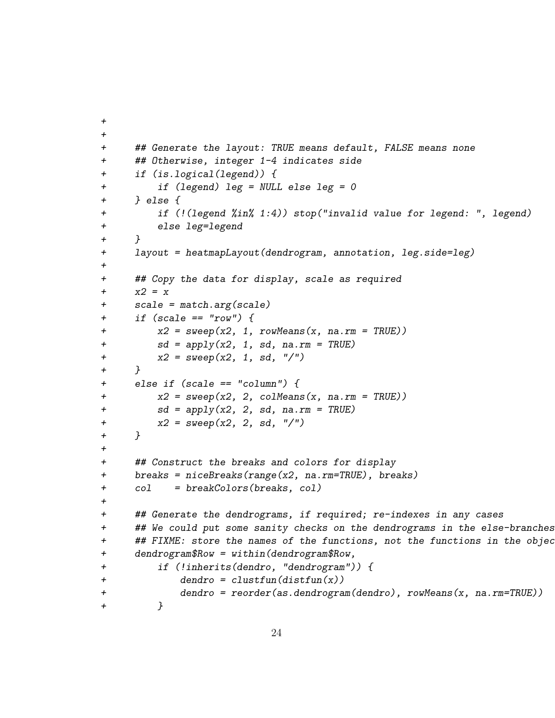```
+
+
+ ## Generate the layout: TRUE means default, FALSE means none
+ ## Otherwise, integer 1-4 indicates side
+ if (is.logical(legend)) {
+ if (legend) leg = NULL else leg = 0
+ } else {
+ if (!(legend %in% 1:4)) stop("invalid value for legend: ", legend)
+ else leg=legend
+ }
+ layout = heatmapLayout(dendrogram, annotation, leg.side=leg)
+
+ ## Copy the data for display, scale as required
+ x2 = x+ scale = match.arg(scale)
+ if (scale == "row") {
+ x2 = sweep(x2, 1, rowMeans(x, na.rm = TRUE))+ sd = apply(x2, 1, sd, na.rm = TRUE)+ x2 = sweep(x2, 1, sd, "/")+ }
+ else if (scale == "column") {
+ x2 = sweep(x2, 2, colMeans(x, na.rm = TRUE))+ sd = apply(x2, 2, sd, na.rm = TRUE)
+ x2 = sweep(x2, 2, sd, "/")+ }
+
+ ## Construct the breaks and colors for display
+ breaks = niceBreaks(range(x2, na.rm=TRUE), breaks)
+ col = breakColors(breaks, col)
+
+ ## Generate the dendrograms, if required; re-indexes in any cases
+ ## We could put some sanity checks on the dendrograms in the else-branches
+ ## FIXME: store the names of the functions, not the functions in the object
+ dendrogram$Row = within(dendrogram$Row,
+ if (!inherits(dendro, "dendrogram")) {
+ dendro = clustfun(distfun(x))
+ dendro = reorder(as.dendrogram(dendro), rowMeans(x, na.rm=TRUE))
+ }
```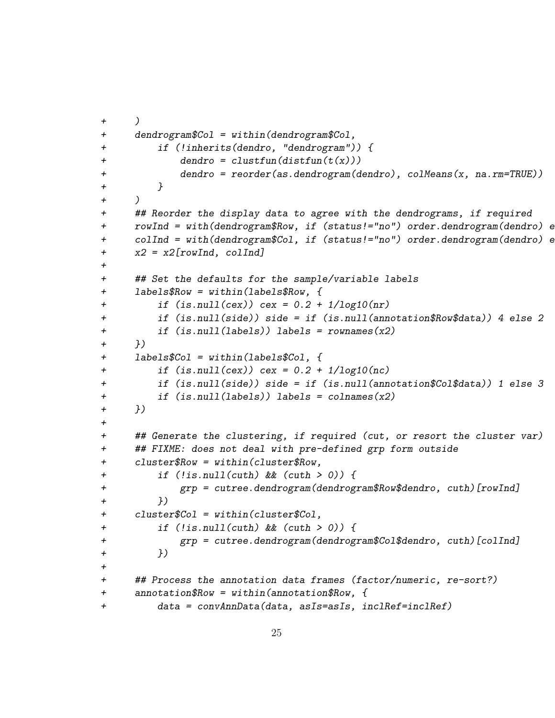```
+ )
+ dendrogram$Col = within(dendrogram$Col,
+ if (!inherits(dendro, "dendrogram")) {
+ dendro = \text{cluster}(distribution(t(x)))+ dendro = reorder(as.dendrogram(dendro), colMeans(x, na.rm=TRUE))
+ }
+ )
+ ## Reorder the display data to agree with the dendrograms, if required
+ rowInd = with(dendrogram$Row, if (status!="no") order.dendrogram(dendro) e
+ colInd = with(dendrogram$Col, if (status!="no") order.dendrogram(dendro) e
+ x2 = x2[rowInd, colInd]
+
+ ## Set the defaults for the sample/variable labels
+ labels$Row = within(labels$Row, {
+ if (is.null(cex)) cex = 0.2 + 1/log10(nr)+ if (is.null(side)) side = if (is.null(annotation$Row$data)) 4 else 2
+ if (is.null(labels)) labels = rownames(x2)
+ })
+ labels$Col = within(labels$Col, {
+ if (is.null(cex)) cex = 0.2 + 1/log10(nc)+ if (is.null(side)) side = if (is.null(annotation$Col$data)) 1 else 3
+ if (is.null(labels)) labels = colnames(x2)
+ })
+
+ ## Generate the clustering, if required (cut, or resort the cluster var)
+ ## FIXME: does not deal with pre-defined grp form outside
+ cluster$Row = within(cluster$Row,
+ if (!is.null(cuth) && (cuth > 0)) {
+ grp = cutree.dendrogram(dendrogram$Row$dendro, cuth)[rowInd]
+ })
+ cluster$Col = within(cluster$Col,
+ if (!is.null(cuth) && (cuth > 0)) {
+ grp = cutree.dendrogram(dendrogram$Col$dendro, cuth)[colInd]
+ })
+
+ ## Process the annotation data frames (factor/numeric, re-sort?)
+ annotation$Row = within(annotation$Row, {
+ data = convAnnData(data, asIs=asIs, inclRef=inclRef)
```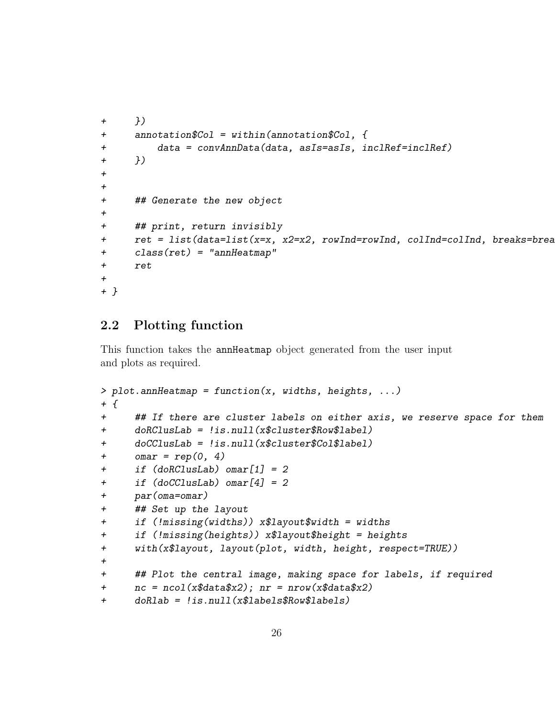```
+ })
+ annotation$Col = within(annotation$Col, {
+ data = convAnnData(data, asIs=asIs, inclRef=inclRef)
+ })
+
+
+ ## Generate the new object
+
+ ## print, return invisibly
+ ret = list(data=list(x=x, x2=x2, rowInd=rowInd, colInd=colInd, breaks=brean =+ class(ret) = "annHeatmap"
+ ret
+
+ }
```
### 2.2 Plotting function

This function takes the annHeatmap object generated from the user input and plots as required.

```
> plot. annHeatmap = function(x, widths, heights, ...)
+ f+ ## If there are cluster labels on either axis, we reserve space for them
+ doRClusLab = !is.null(x$cluster$Row$label)
+ doCClusLab = !is.null(x$cluster$Col$label)
+ omar = rep(0, 4)+ if (doRClusLab) omar[1] = 2
+ if (doCClusLab) omar[4] = 2
+ par(oma=omar)
+ ## Set up the layout
+ if (!missing(widths)) x$layout$width = widths
+ if (!missing(heights)) x$layout$height = heights
+ with(x$layout, layout(plot, width, height, respect=TRUE))
+
+ ## Plot the central image, making space for labels, if required
+ nc = ncol(x$data$x2); nr = nrow(x$data$x2)+ doRlab = !is.null(x$labels$Row$labels)
```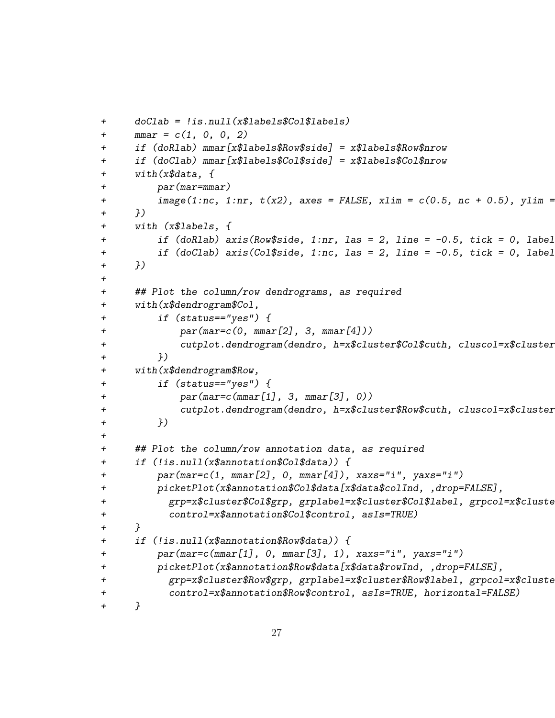```
+ doClab = !is.null(x$labels$Col$labels)
+ mmar = c(1, 0, 0, 2)+ if (doRlab) mmar[x$labels$Row$side] = x$labels$Row$nrow
+ if (doClab) mmar[x$labels$Col$side] = x$labels$Col$nrow
+ with(x$data, {
+ par(mar=mmar)
+ image(1:nc, 1:nr, t(x2), axes = FALSE, xlim = c(0.5, n_c + 0.5), ylim =
+ })
+ with (x$labels, {
+ if (doRlab) axis(Row$side, 1:nr, las = 2, line = -0.5, tick = 0, label
+ if (doClab) axis(Col$side, 1:nc, las = 2, line = -0.5, tick = 0, label
+ })
+
+ ## Plot the column/row dendrograms, as required
+ with(x$dendrogram$Col,
+ if (status=="yes") {
+ par(mar=c(0, mmar[2], 3, mmar[4]))
+ cutplot.dendrogram(dendro, h=x$cluster$Col$cuth, cluscol=x$cluster
+ })
+ with(x$dendrogram$Row,
+ if (status=="yes") {
+ par(mar=c(mmar[1], 3, mmar[3], 0))
+ cutplot.dendrogram(dendro, h=x$cluster$Row$cuth, cluscol=x$cluster
+ })
+
+ ## Plot the column/row annotation data, as required
+ if (!is.null(x$annotation$Col$data)) {
+ par(mar=c(1, mmar[2], 0, mmar[4]), xaxs="i", yaxs="i")
+ picketPlot(x$annotation$Col$data[x$data$colInd, ,drop=FALSE],
+ grp=x\$cluster\$Col\$grp, grplabel=x\$cluster\$Col\$label, grpcol=x\$cluster\$Col+ control=x$annotation$Col$control, asIs=TRUE)
+ }
+ if (!is.null(x$annotation$Row$data)) {
+ par(mar=c(mmar[1], 0, mmar[3], 1), xaxs="i", yaxs="i")
+ picketPlot(x$annotation$Row$data[x$data$rowInd, ,drop=FALSE],
+ grp=x$cluster$Row$grp, grplabel=x$cluster$Row$10224\text{cm}++ control=x$annotation$Row$control, asIs=TRUE, horizontal=FALSE)
+ }
```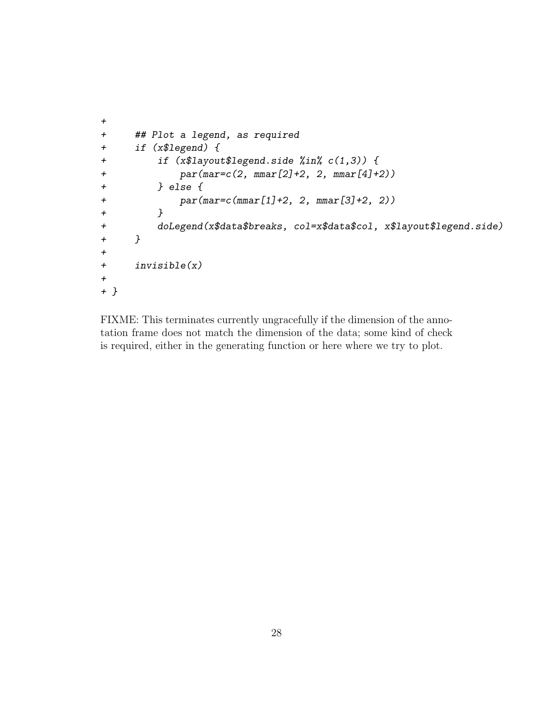```
+
+ ## Plot a legend, as required
+ if (x$legend) {
+ if (x$layout$legend.side %in% c(1,3)) {
+ par(mar=c(2, mmar[2]+2, 2, mmar[4]+2))
+ } else {
+ par(mar=c(mmar[1]+2, 2, mmar[3]+2, 2))
+ }
+ doLegend(x$data$breaks, col=x$data$col, x$layout$legend.side)
+ }
+
+ invisible(x)
+
+ }
```
FIXME: This terminates currently ungracefully if the dimension of the annotation frame does not match the dimension of the data; some kind of check is required, either in the generating function or here where we try to plot.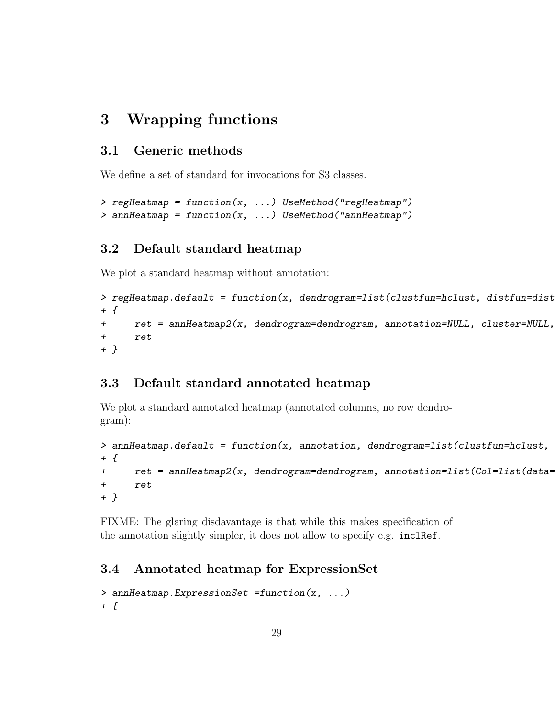## 3 Wrapping functions

#### 3.1 Generic methods

We define a set of standard for invocations for S3 classes.

```
> regHeatmap = function(x, ...) UseMethod("regHeatmap")
> annHeatmap = function(x, ...) UseMethod("annHeatmap")
```
#### 3.2 Default standard heatmap

We plot a standard heatmap without annotation:

```
> regHeatmap.default = function(x, dendrogram=list(clustfun=hclust, distfun=dist
+ {
+ ret = annHeatmap2(x, dendrogram=dendrogram, annotation=NULL, cluster=NULL,
+ ret
+ }
```
#### 3.3 Default standard annotated heatmap

We plot a standard annotated heatmap (annotated columns, no row dendrogram):

```
> annHeatmap.default = function(x, annotation, dendrogram=list(clustfun=hclust,
+ {
+ ret = annHeatmap2(x, dendrogram=dendrogram, annotation=list(Col=list(data=
+ ret
+ }
```
FIXME: The glaring disdavantage is that while this makes specification of the annotation slightly simpler, it does not allow to specify e.g. inclRef.

#### 3.4 Annotated heatmap for ExpressionSet

```
> annHeatmap.ExpressionSet =function(x, ...)
+ f
```